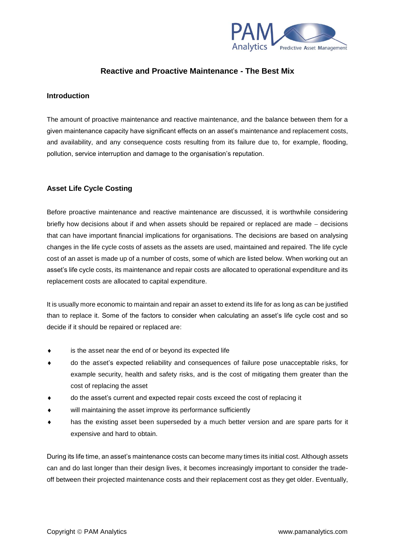

# **Reactive and Proactive Maintenance - The Best Mix**

# **Introduction**

The amount of proactive maintenance and reactive maintenance, and the balance between them for a given maintenance capacity have significant effects on an asset's maintenance and replacement costs, and availability, and any consequence costs resulting from its failure due to, for example, flooding, pollution, service interruption and damage to the organisation's reputation.

# **Asset Life Cycle Costing**

Before proactive maintenance and reactive maintenance are discussed, it is worthwhile considering briefly how decisions about if and when assets should be repaired or replaced are made − decisions that can have important financial implications for organisations. The decisions are based on analysing changes in the life cycle costs of assets as the assets are used, maintained and repaired. The life cycle cost of an asset is made up of a number of costs, some of which are listed below. When working out an asset's life cycle costs, its maintenance and repair costs are allocated to operational expenditure and its replacement costs are allocated to capital expenditure.

It is usually more economic to maintain and repair an asset to extend its life for as long as can be justified than to replace it. Some of the factors to consider when calculating an asset's life cycle cost and so decide if it should be repaired or replaced are:

- is the asset near the end of or beyond its expected life
- do the asset's expected reliability and consequences of failure pose unacceptable risks, for example security, health and safety risks, and is the cost of mitigating them greater than the cost of replacing the asset
- do the asset's current and expected repair costs exceed the cost of replacing it
- will maintaining the asset improve its performance sufficiently
- has the existing asset been superseded by a much better version and are spare parts for it expensive and hard to obtain.

During its life time, an asset's maintenance costs can become many times its initial cost. Although assets can and do last longer than their design lives, it becomes increasingly important to consider the tradeoff between their projected maintenance costs and their replacement cost as they get older. Eventually,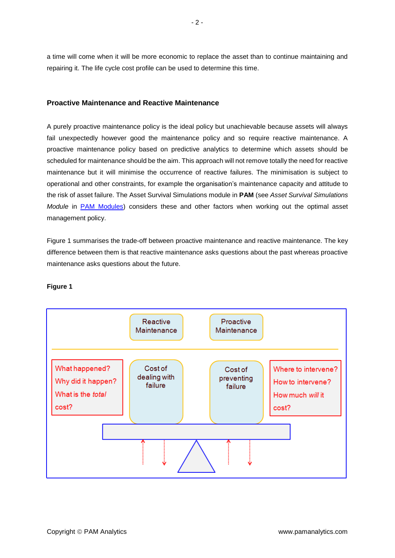a time will come when it will be more economic to replace the asset than to continue maintaining and repairing it. The life cycle cost profile can be used to determine this time.

#### **Proactive Maintenance and Reactive Maintenance**

A purely proactive maintenance policy is the ideal policy but unachievable because assets will always fail unexpectedly however good the maintenance policy and so require reactive maintenance. A proactive maintenance policy based on predictive analytics to determine which assets should be scheduled for maintenance should be the aim. This approach will not remove totally the need for reactive maintenance but it will minimise the occurrence of reactive failures. The minimisation is subject to operational and other constraints, for example the organisation's maintenance capacity and attitude to the risk of asset failure. The Asset Survival Simulations module in **PAM** (see *Asset Survival Simulations Module* in [PAM Modules\)](http://www.pamanalytics.com/PAM_modules.html) considers these and other factors when working out the optimal asset management policy.

Figure 1 summarises the trade-off between proactive maintenance and reactive maintenance. The key difference between them is that reactive maintenance asks questions about the past whereas proactive maintenance asks questions about the future.



#### **Figure 1**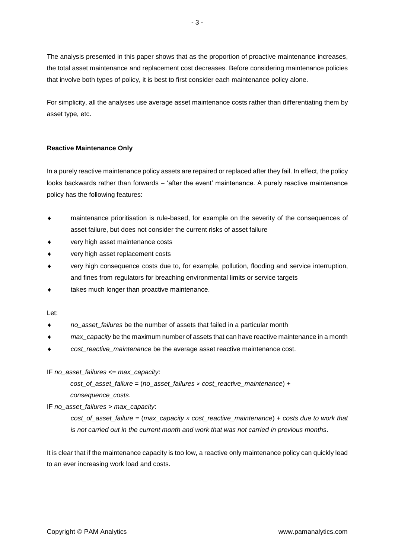The analysis presented in this paper shows that as the proportion of proactive maintenance increases, the total asset maintenance and replacement cost decreases. Before considering maintenance policies that involve both types of policy, it is best to first consider each maintenance policy alone.

For simplicity, all the analyses use average asset maintenance costs rather than differentiating them by asset type, etc.

#### **Reactive Maintenance Only**

In a purely reactive maintenance policy assets are repaired or replaced after they fail. In effect, the policy looks backwards rather than forwards − 'after the event' maintenance. A purely reactive maintenance policy has the following features:

- maintenance prioritisation is rule-based, for example on the severity of the consequences of asset failure, but does not consider the current risks of asset failure
- very high asset maintenance costs
- very high asset replacement costs
- very high consequence costs due to, for example, pollution, flooding and service interruption, and fines from regulators for breaching environmental limits or service targets
- takes much longer than proactive maintenance.

Let:

- *no\_asset\_failures* be the number of assets that failed in a particular month
- *max\_capacity* be the maximum number of assets that can have reactive maintenance in a month
- *cost\_reactive\_maintenance* be the average asset reactive maintenance cost.

# IF *no\_asset\_failures* <= *max\_capacity*:

*cost\_of\_asset\_failure* = (*no\_asset\_failures × cost\_reactive\_maintenance*) + *consequence\_costs*.

# IF *no\_asset\_failures* > *max\_capacity*:

*cost\_of\_asset\_failure* = (*max\_capacity × cost\_reactive\_maintenance*) + *costs due to work that is not carried out in the current month and work that was not carried in previous months*.

It is clear that if the maintenance capacity is too low, a reactive only maintenance policy can quickly lead to an ever increasing work load and costs.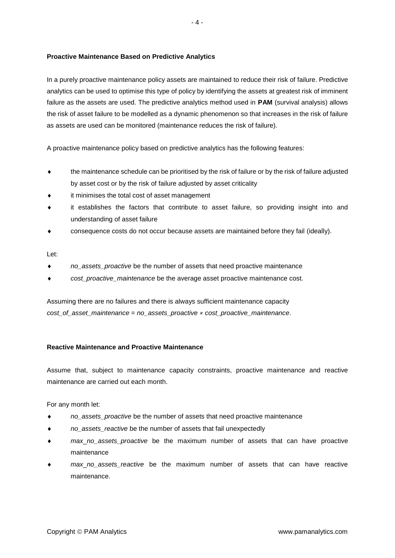#### **Proactive Maintenance Based on Predictive Analytics**

In a purely proactive maintenance policy assets are maintained to reduce their risk of failure. Predictive analytics can be used to optimise this type of policy by identifying the assets at greatest risk of imminent failure as the assets are used. The predictive analytics method used in **PAM** (survival analysis) allows the risk of asset failure to be modelled as a dynamic phenomenon so that increases in the risk of failure as assets are used can be monitored (maintenance reduces the risk of failure).

A proactive maintenance policy based on predictive analytics has the following features:

- the maintenance schedule can be prioritised by the risk of failure or by the risk of failure adjusted by asset cost or by the risk of failure adjusted by asset criticality
- it minimises the total cost of asset management
- it establishes the factors that contribute to asset failure, so providing insight into and understanding of asset failure
- consequence costs do not occur because assets are maintained before they fail (ideally).

Let:

- *no\_assets\_proactive* be the number of assets that need proactive maintenance
- *cost\_proactive\_maintenance* be the average asset proactive maintenance cost.

Assuming there are no failures and there is always sufficient maintenance capacity *cost\_of\_asset\_maintenance* = *no\_assets\_proactive × cost\_proactive\_maintenance*.

# **Reactive Maintenance and Proactive Maintenance**

Assume that, subject to maintenance capacity constraints, proactive maintenance and reactive maintenance are carried out each month.

For any month let:

- *no\_assets\_proactive* be the number of assets that need proactive maintenance
- *no\_assets\_reactive* be the number of assets that fail unexpectedly
- *max*\_*no\_assets\_proactive* be the maximum number of assets that can have proactive maintenance
- *max*\_*no\_assets\_reactive* be the maximum number of assets that can have reactive maintenance.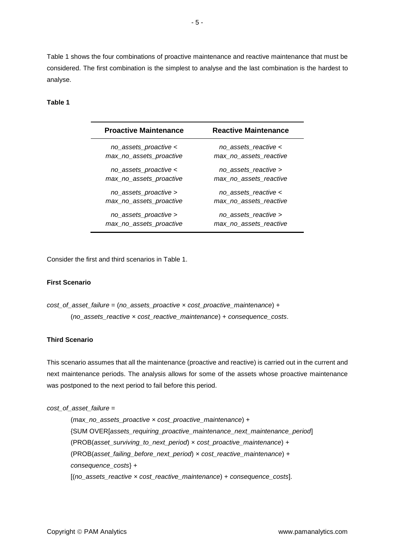Table 1 shows the four combinations of proactive maintenance and reactive maintenance that must be considered. The first combination is the simplest to analyse and the last combination is the hardest to analyse.

#### **Table 1**

| <b>Proactive Maintenance</b> | <b>Reactive Maintenance</b> |
|------------------------------|-----------------------------|
| no_assets_proactive <        | no_assets_reactive <        |
| max_no_assets_proactive      | max no assets reactive      |
| no_assets_proactive <        | no assets reactive >        |
| max_no_assets_proactive      | max no assets reactive      |
| no_assets_proactive >        | no assets reactive <        |
| max_no_assets_proactive      | max no assets reactive      |
| no assets proactive >        | no assets_reactive >        |
| max_no_assets_proactive      | max no assets reactive      |

Consider the first and third scenarios in Table 1.

#### **First Scenario**

```
cost_of_asset_failure = (no_assets_proactive × cost_proactive_maintenance) +
(no_assets_reactive × cost_reactive_maintenance) + consequence_costs.
```
# **Third Scenario**

This scenario assumes that all the maintenance (proactive and reactive) is carried out in the current and next maintenance periods. The analysis allows for some of the assets whose proactive maintenance was postponed to the next period to fail before this period.

#### *cost\_of\_asset\_failure* =

(*max\_no\_assets\_proactive* × *cost\_proactive\_maintenance*) + {SUM OVER[*assets\_requiring\_proactive\_maintenance\_next\_maintenance\_period*] (PROB(*asset\_surviving\_to\_next\_period*) × *cost\_proactive\_maintenance*) + (PROB(*asset\_failing\_before\_next\_period*) × *cost\_reactive\_maintenance*) + *consequence\_costs*} *+* [(*no\_assets\_reactive* × *cost\_reactive\_maintenance*) + *consequence\_costs*].